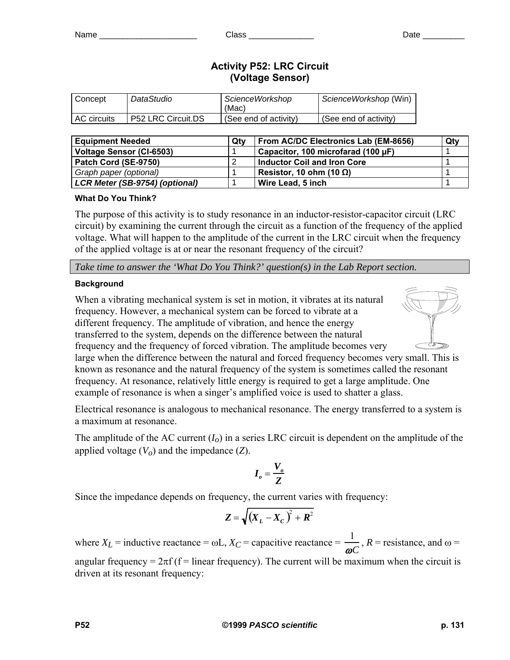# **Activity P52: LRC Circuit (Voltage Sensor)**

| Concept       | DataStudio                | ScienceWorkshop<br>(Mac) | ScienceWorkshop (Win) |
|---------------|---------------------------|--------------------------|-----------------------|
| l AC circuits | <b>P52 LRC Circuit.DS</b> | (See end of activity)    | (See end of activity) |

| <b>Equipment Needed</b><br>Otv        |  | From AC/DC Electronics Lab (EM-8656) | Qty |
|---------------------------------------|--|--------------------------------------|-----|
| <b>Voltage Sensor (CI-6503)</b>       |  | Capacitor, 100 microfarad (100 µF)   |     |
| Patch Cord (SE-9750)                  |  | Inductor Coil and Iron Core          |     |
| Graph paper (optional)                |  | Resistor, 10 ohm (10 $\Omega$ )      |     |
| <b>LCR Meter (SB-9754) (optional)</b> |  | Wire Lead, 5 inch                    |     |

## **What Do You Think?**

The purpose of this activity is to study resonance in an inductor-resistor-capacitor circuit (LRC circuit) by examining the current through the circuit as a function of the frequency of the applied voltage. What will happen to the amplitude of the current in the LRC circuit when the frequency of the applied voltage is at or near the resonant frequency of the circuit?

*Take time to answer the 'What Do You Think?' question(s) in the Lab Report section.*

## **Background**

When a vibrating mechanical system is set in motion, it vibrates at its natural frequency. However, a mechanical system can be forced to vibrate at a different frequency. The amplitude of vibration, and hence the energy transferred to the system, depends on the difference between the natural frequency and the frequency of forced vibration. The amplitude becomes very



large when the difference between the natural and forced frequency becomes very small. Th is is known as resonance and the natural frequency of the system is sometimes called the resonant frequency. At resonance, relatively little energy is required to get a large amplitude. One example of resonance is when a singer's amplified voice is us ed to shatter a glass.

Electrical resonance is analogous to mechanical resonance. The energy transferred to a system is a maximum at resonance.

The amplitude of the AC current (*Io*) in a series LRC circuit is dependent on the amplitude of the applied voltage  $(V<sub>o</sub>)$  and the impedance  $(Z)$ .

$$
I_o = \frac{V_o}{Z}
$$

Since the impedance depends on frequency, the current varies with frequency:

$$
Z = \sqrt{(X_L - X_C)^2 + R^2}
$$

where  $X_L$  = inductive reactance =  $\omega L$ ,  $X_C$  = capacitive reactance =  $\frac{1}{\omega C}$ ,  $R$  = resistance, and  $\omega$  =

angular frequency =  $2\pi f$  (f = linear frequency). The current will be maximum when the circuit is driven at its resonant frequency: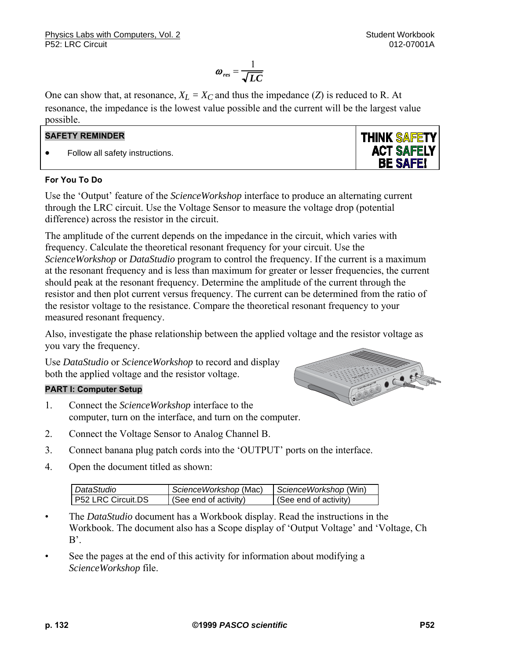**THINK SAFETY ACT SAFELY BE SAFE!** 

$$
\omega_{res} = \frac{1}{\sqrt{LC}}
$$

One can show that, at resonance,  $X_L = X_C$  and thus the impedance (*Z*) is reduced to R. At resonance, the impedance is the lowest value possible and the current will be the largest value possible.

## **SAFETY REMINDER**

• Follow all safety instructions.

### **For You To Do**

Use the 'Output' feature of the *ScienceWorkshop* interface to produce an alternating current through the LRC circuit. Use the Voltage Sensor to measure the voltage drop (potential difference) across the resistor in the circuit.

The amplitude of the current depends on the impedance in the circuit, which varies with frequency. Calculate the theoretical resonant frequency for your circuit. Use the *ScienceWorkshop* or *DataStudio* program to control the frequency. If the current is a maximum at the resonant frequency and is less than maximum for greater or lesser frequencies, the current should peak at the resonant frequency. Determine the amplitude of the current through the resistor and then plot current versus frequency. The current can be determined from the ratio of the resistor voltage to the resistance. Compare the theoretical resonant frequency to your measured resonant frequency.

Also, investigate the phase relationship between the applied voltage and the resistor voltage as you vary the frequency.

Use *DataStudio* or *ScienceWorkshop* to record and display both the applied voltage and the resistor voltage.

## **PART I: Computer Setup**

- 1. Connect the *ScienceWorkshop* interface to the computer, turn on the interface, and turn on the computer.
- 2. Connect the Voltage Sensor to Analog Channel B.
- 3. Connect banana plug patch cords into the 'OUTPUT' ports on the interface.
- 4. Open the document titled as shown:

| DataStudio                | ScienceWorkshop (Mac) | ScienceWorkshop (Win) |
|---------------------------|-----------------------|-----------------------|
| <b>P52 LRC Circuit.DS</b> | (See end of activity) | (See end of activity) |

- The *DataStudio* document has a Workbook display. Read the instructions in the Workbook. The document also has a Scope display of 'Output Voltage' and 'Voltage, Ch  $B'$ .
- See the pages at the end of this activity for information about modifying a *ScienceWorkshop* file.

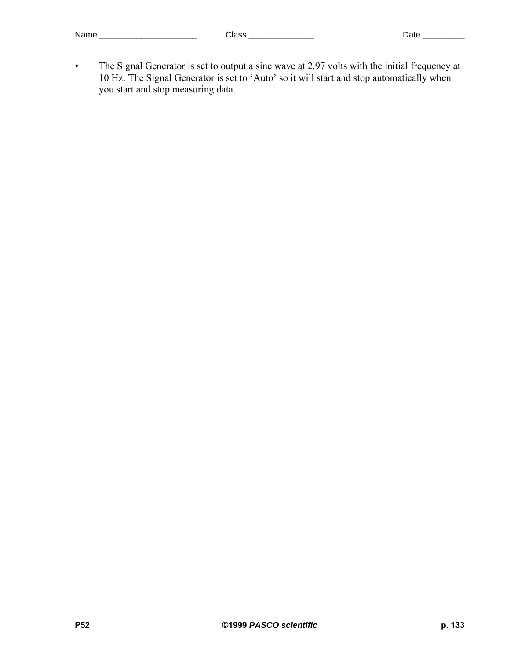• The Signal Generator is set to output a sine wave at 2.97 volts with the initial frequency at 10 Hz. The Signal Generator is set to 'Auto' so it will start and stop automatically when you start and stop measuring data.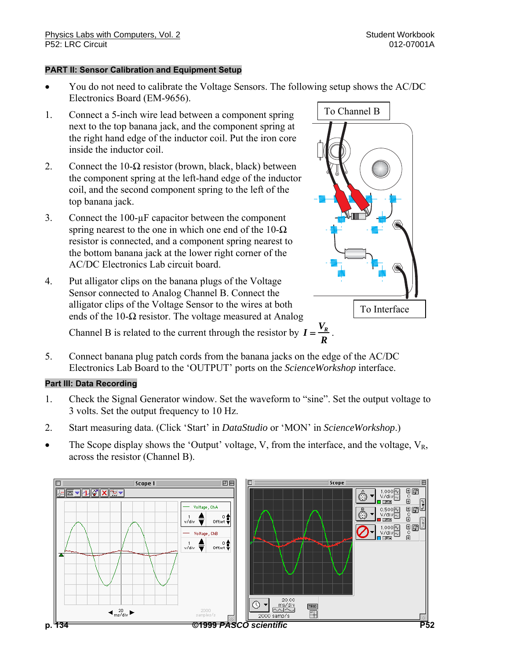### **PART II: Sensor Calibration and Equipment Setup**

- You do not need to calibrate the Voltage Sensors. The following setup shows the AC/DC Electronics Board (EM-9656).
- 1. Connect a 5-inch wire lead between a component spring next to the top banana jack, and the component spring at the right hand edge of the inductor coil. Put the iron core inside the inductor coil.
- 2. Connect the 10- $\Omega$  resistor (brown, black, black) between the component spring at the left-hand edge of the inductor coil, and the second component spring to the left of the top banana jack.
- 3. Connect the 100-µF capacitor between the component spring nearest to the one in which one end of the  $10-\Omega$ resistor is connected, and a component spring nearest to the bottom banana jack at the lower right corner of the AC/DC Electronics Lab circuit board.
- 4. Put alligator clips on the banana plugs of the Voltage Sensor connected to Analog Channel B. Connect the alligator clips of the Voltage Sensor to the wires at both ends of the 10- $\Omega$  resistor. The voltage measured at Analog

Channel B is related to the current through the resistor by  $I = \frac{V_R}{R}$ 

5. Connect banana plug patch cords from the banana jacks on the edge of the AC/DC Electronics Lab Board to the 'OUTPUT' ports on the *ScienceWorkshop* interface.

## **Part III: Data Recording**

- 1. Check the Signal Generator window. Set the waveform to "sine". Set the output voltage to 3 volts. Set the output frequency to 10 Hz.
- 2. Start measuring data. (Click 'Start' in *DataStudio* or 'MON' in *ScienceWorkshop*.)
- The Scope display shows the 'Output' voltage, V, from the interface, and the voltage,  $V_R$ , across the resistor (Channel B).



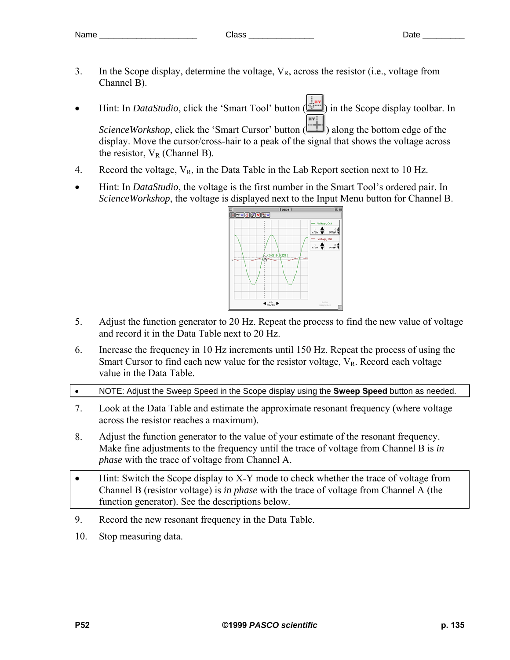- 3. In the Scope display, determine the voltage,  $V_R$ , across the resistor (i.e., voltage from Channel B).
- Hint: In *DataStudio*, click the 'Smart Tool' button ( in the Scope display toolbar. In *ScienceWorkshop*, click the 'Smart Cursor' button ( $\frac{1}{\sqrt{1}}$ ) along the bottom edge of the display. Move the cursor/cross-hair to a peak of the signal that shows the voltage across the resistor,  $V_R$  (Channel B).
- 4. Record the voltage,  $V_R$ , in the Data Table in the Lab Report section next to 10 Hz.
- Hint: In *DataStudio*, the voltage is the first number in the Smart Tool's ordered pair. In *ScienceWorkshop*, the voltage is displayed next to the Input Menu button for Channel B.



- 5. Adjust the function generator to 20 Hz. Repeat the process to find the new value of voltage and record it in the Data Table next to 20 Hz.
- 6. Increase the frequency in 10 Hz increments until 150 Hz. Repeat the process of using the Smart Cursor to find each new value for the resistor voltage,  $V_R$ . Record each voltage value in the Data Table.
- NOTE: Adjust the Sweep Speed in the Scope display using the **Sweep Speed** button as needed.
- 7. Look at the Data Table and estimate the approximate resonant frequency (where voltage across the resistor reaches a maximum).
- 8. Adjust the function generator to the value of your estimate of the resonant frequency. Make fine adjustments to the frequency until the trace of voltage from Channel B is *in phase* with the trace of voltage from Channel A.
- Hint: Switch the Scope display to X-Y mode to check whether the trace of voltage from Channel B (resistor voltage) is *in phase* with the trace of voltage from Channel A (the function generator). See the descriptions below.
- 9. Record the new resonant frequency in the Data Table.
- 10. Stop measuring data.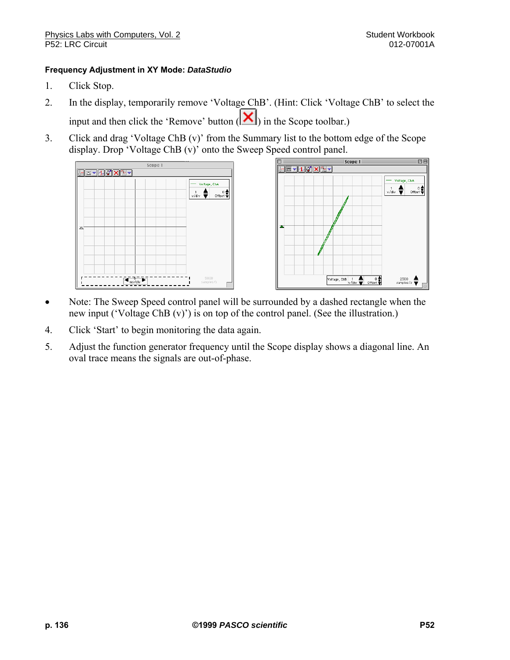### **Frequency Adjustment in XY Mode:** *DataStudio*

- 1. Click Stop.
- 2. In the display, temporarily remove 'Voltage ChB'. (Hint: Click 'Voltage ChB' to select the input and then click the 'Remove' button  $\left(\mathbf{X}\right)$  in the Scope toolbar.)
- 3. Click and drag 'Voltage ChB (v)' from the Summary list to the bottom edge of the Scope display. Drop 'Voltage ChB (v)' onto the Sweep Speed control panel.





- Note: The Sweep Speed control panel will be surrounded by a dashed rectangle when the new input ('Voltage ChB (v)') is on top of the control panel. (See the illustration.)
- 4. Click 'Start' to begin monitoring the data again.
- 5. Adjust the function generator frequency until the Scope display shows a diagonal line. An oval trace means the signals are out-of-phase.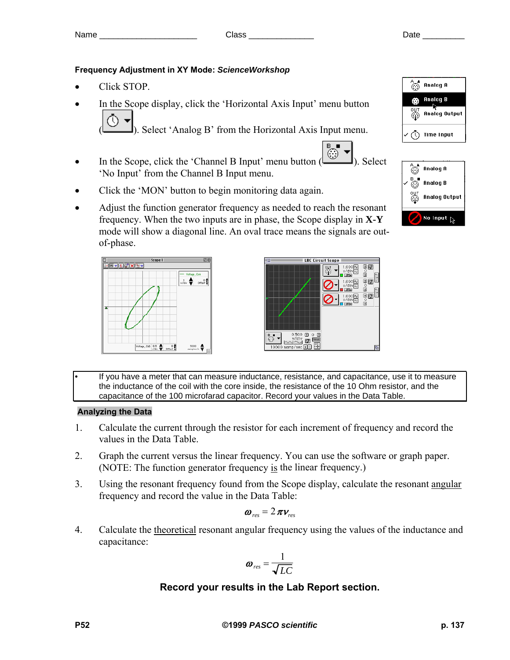## **Frequency Adjustment in XY Mode:** *ScienceWorkshop*

- Click STOP.
- In the Scope display, click the 'Horizontal Axis Input' menu button

( ). Select 'Analog B' from the Horizontal Axis Input menu.

- In the Scope, click the 'Channel B Input' menu button  $\left(\begin{array}{c} \circ \\ \circ \\ \circ \end{array}\right)$ . Select 'No Input' from the Channel B Input menu.
- Click the 'MON' button to begin monitoring data again.
- Adjust the function generator frequency as needed to reach the resonant frequency. When the two inputs are in phase, the Scope display in **X-Y** mode will show a diagonal line. An oval trace means the signals are outof-phase.





• If you have a meter that can measure inductance, resistance, and capacitance, use it to measure the inductance of the coil with the core inside, the resistance of the 10 Ohm resistor, and the capacitance of the 100 microfarad capacitor. Record your values in the Data Table.

## **Analyzing the Data**

- 1. Calculate the current through the resistor for each increment of frequency and record the values in the Data Table.
- 2. Graph the current versus the linear frequency. You can use the software or graph paper. (NOTE: The function generator frequency is the linear frequency.)
- 3. Using the resonant frequency found from the Scope display, calculate the resonant angular frequency and record the value in the Data Table:

$$
\boldsymbol{\omega}_{res}=2\,\pi\boldsymbol{v}_{res}
$$

4. Calculate the theoretical resonant angular frequency using the values of the inductance and capacitance:

$$
\boldsymbol{\omega}_{res} = \frac{1}{\sqrt{LC}}
$$

# **Record your results in the Lab Report section.**



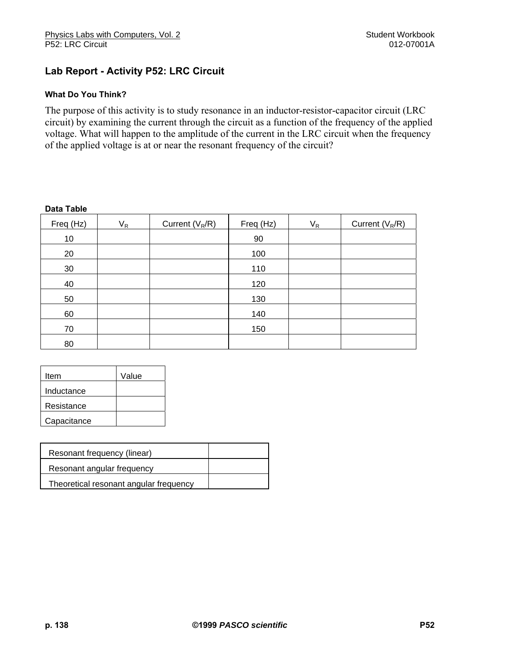# **Lab Report - Activity P52: LRC Circuit**

### **What Do You Think?**

The purpose of this activity is to study resonance in an inductor-resistor-capacitor circuit (LRC circuit) by examining the current through the circuit as a function of the frequency of the applied voltage. What will happen to the amplitude of the current in the LRC circuit when the frequency of the applied voltage is at or near the resonant frequency of the circuit?

#### **Data Table**

| Freq (Hz) | $V_R$ | Current $(V_R/R)$ | Freq (Hz) | $V_R$ | Current $(V_R/R)$ |
|-----------|-------|-------------------|-----------|-------|-------------------|
| 10        |       |                   | 90        |       |                   |
| 20        |       |                   | 100       |       |                   |
| 30        |       |                   | 110       |       |                   |
| 40        |       |                   | 120       |       |                   |
| 50        |       |                   | 130       |       |                   |
| 60        |       |                   | 140       |       |                   |
| 70        |       |                   | 150       |       |                   |
| 80        |       |                   |           |       |                   |

| Item        | Value |
|-------------|-------|
| Inductance  |       |
| Resistance  |       |
| Capacitance |       |

| Resonant frequency (linear)            |  |
|----------------------------------------|--|
| Resonant angular frequency             |  |
| Theoretical resonant angular frequency |  |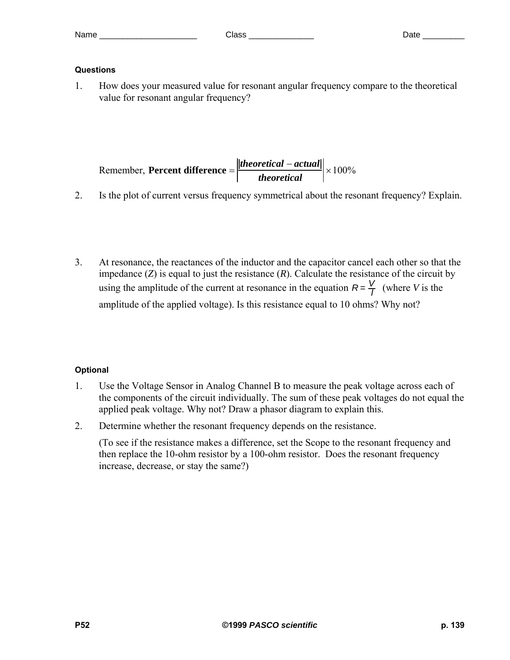## **Questions**

1. How does your measured value for resonant angular frequency compare to the theoretical value for resonant angular frequency?

Remember, Percent difference 
$$
=\left|\frac{|theoretical - actual|}{theoretical}\right| \times 100\%
$$

- 2. Is the plot of current versus frequency symmetrical about the resonant frequency? Explain.
- 3. At resonance, the reactances of the inductor and the capacitor cancel each other so that the impedance  $(Z)$  is equal to just the resistance  $(R)$ . Calculate the resistance of the circuit by using the amplitude of the current at resonance in the equation  $R = \frac{V}{I}$  (where *V* is the amplitude of the applied voltage). Is this resistance equal to 10 ohms? Why not?

# **Optional**

- 1. Use the Voltage Sensor in Analog Channel B to measure the peak voltage across each of the components of the circuit individually. The sum of these peak voltages do not equal the applied peak voltage. Why not? Draw a phasor diagram to explain this.
- 2. Determine whether the resonant frequency depends on the resistance.

 (To see if the resistance makes a difference, set the Scope to the resonant frequency and then replace the 10-ohm resistor by a 100-ohm resistor. Does the resonant frequency increase, decrease, or stay the same?)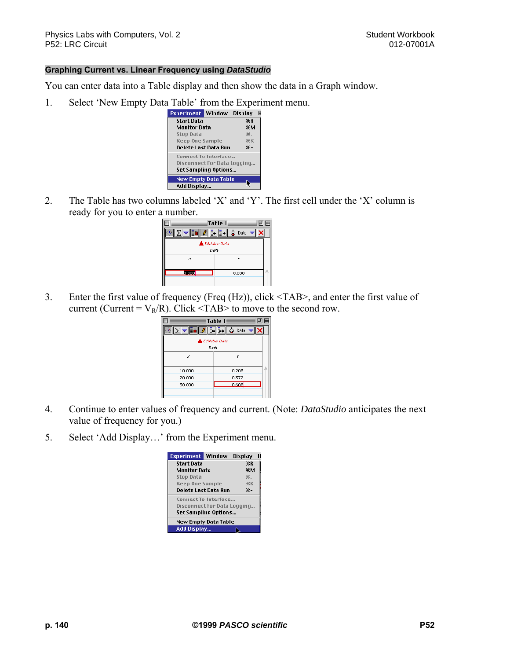#### **Graphing Current vs. Linear Frequency using** *DataStudio*

You can enter data into a Table display and then show the data in a Graph window.

1. Select 'New Empty Data Table' from the Experiment menu.



2. The Table has two columns labeled 'X' and 'Y'. The first cell under the 'X' column is ready for you to enter a number.

|               | $\overline{\phantom{a}}$ Table 1 $\overline{\phantom{a}}$ | 凹目 |
|---------------|-----------------------------------------------------------|----|
|               | Data                                                      |    |
| Lditable Data |                                                           |    |
| Data          |                                                           |    |
| ×             | Y                                                         |    |
| b.cool        |                                                           |    |
|               | 0.000                                                     |    |
|               |                                                           |    |

3. Enter the first value of frequency (Freq (Hz)), click <TAB>, and enter the first value of current (Current =  $V_R/R$ ). Click <TAB> to move to the second row.

|                | 回目<br>Table $1 \equiv$ |  |
|----------------|------------------------|--|
|                | Data                   |  |
| LEditable Data |                        |  |
| Data           |                        |  |
| ×              | Y                      |  |
| 10.000         | 0.203                  |  |
| 20.000         | 0.372                  |  |
| 30.000         | 0.608                  |  |
|                |                        |  |

- 4. Continue to enter values of frequency and current. (Note: *DataStudio* anticipates the next value of frequency for you.)
- 5. Select 'Add Display…' from the Experiment menu.

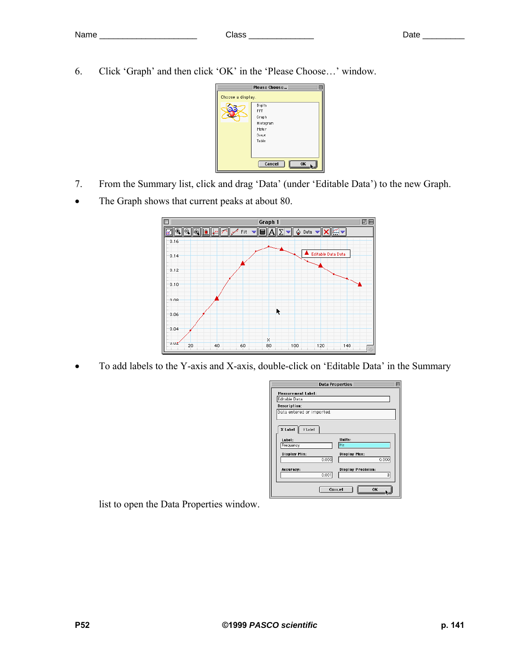- Name \_\_\_\_\_\_\_\_\_\_\_\_\_\_\_\_\_\_\_\_\_\_\_ Class \_\_\_\_\_\_\_\_\_\_\_\_\_\_\_ Date \_\_\_\_\_\_\_\_\_\_
- 6. Click 'Graph' and then click 'OK' in the 'Please Choose…' window.

|                   | Please Choose                                                  |
|-------------------|----------------------------------------------------------------|
| Choose a display. |                                                                |
|                   | Digits<br>FFT<br>Graph<br>Histogram<br>Meter<br>Scope<br>Table |
|                   | Cancel<br>OK                                                   |

- 7. From the Summary list, click and drag 'Data' (under 'Editable Data') to the new Graph.
- The Graph shows that current peaks at about 80.



• To add labels to the Y-axis and X-axis, double-click on 'Editable Data' in the Summary

| <b>Data Properties</b>    |                                |  |  |
|---------------------------|--------------------------------|--|--|
| <b>Measurement Label:</b> |                                |  |  |
| Editable Data             |                                |  |  |
| Description:              |                                |  |  |
| Data entered or imported. |                                |  |  |
| X Label<br>Y Label        |                                |  |  |
| Label:                    | Units:                         |  |  |
| Frequency                 | <b>Hz</b>                      |  |  |
| <b>Display Min:</b>       | <b>Display Max:</b>            |  |  |
| 0.000                     | 0.000                          |  |  |
| Accuracy:<br>0.001        | <b>Display Precision:</b><br>3 |  |  |
| OK<br>Cancel              |                                |  |  |

list to open the Data Properties window.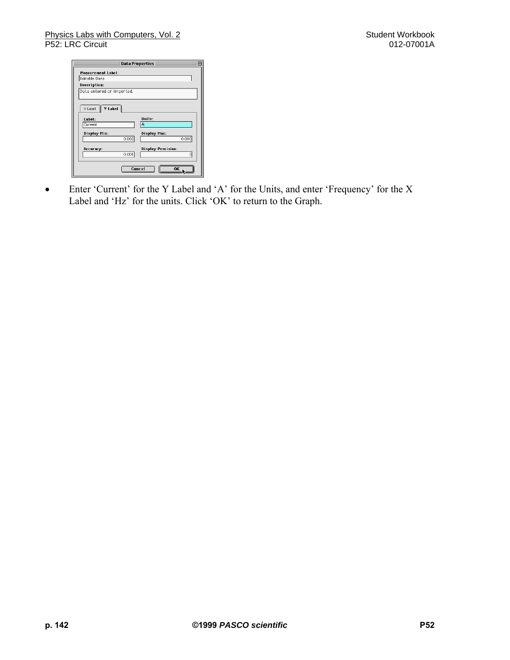| <b>Data Properties</b>    |                           |
|---------------------------|---------------------------|
| Measurement Label:        |                           |
| Editable Data             |                           |
| Description:              |                           |
| Data entered or imported. |                           |
|                           |                           |
| Y Label<br>X Label        |                           |
| Label:                    | Units:                    |
| Current                   | А                         |
| <b>Display Min:</b>       | Display Max:              |
| 0.000                     | 0.000                     |
|                           |                           |
| Accuracy:                 | <b>Display Precision:</b> |
| 0.001                     | 3                         |
|                           |                           |
| Cancel                    | ΩK                        |
|                           |                           |

• Enter 'Current' for the Y Label and 'A' for the Units, and enter 'Frequency' for the X Label and 'Hz' for the units. Click 'OK' to return to the Graph.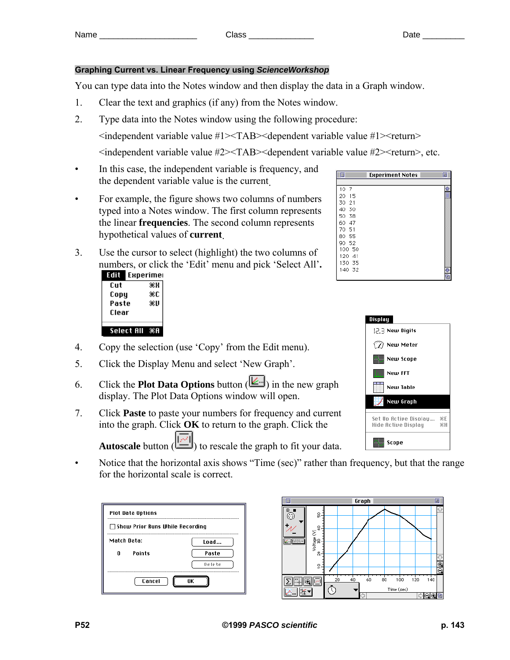**Experiment Notes** 

## **Graphing Current vs. Linear Frequency using** *ScienceWorkshop*

You can type data into the Notes window and then display the data in a Graph window.

- 1. Clear the text and graphics (if any) from the Notes window.
- 2. Type data into the Notes window using the following procedure:

<independent variable value #1><TAB><dependent variable value #1><return>

 $\leq$ independent variable value #2 $\geq$ TAB $\geq$ dependent variable value #2 $\geq$ return $\geq$ , etc.

T

- In this case, the independent variable is frequency, and the dependent variable value is the current.
- For example, the figure shows two columns of numbers typed into a Notes window. The first column represents the linear **frequencies**. The second column represents hypothetical values of **current**.
- 3. Use the cursor to select (highlight) the two columns of numbers, or click the 'Edit' menu and pick 'Select All'**.**

| εσπ   | Experimei  |       |  |
|-------|------------|-------|--|
| Cut   |            | жH    |  |
| Copy  |            | ЖC    |  |
| Paste |            | жU    |  |
| Clear |            |       |  |
|       |            |       |  |
|       | Select All | - 343 |  |

- 4. Copy the selection (use 'Copy' from the Edit menu).
- 5. Click the Display Menu and select 'New Graph'.
- 6. Click the **Plot Data Options** button ( $\boxed{\mathbb{E}}$ ) in the new graph display. The Plot Data Options window will open.
- 7. Click **Paste** to paste your numbers for frequency and current into the graph. Click **OK** to return to the graph. Click the Autoscale button ( $\boxed{\boxed{\boxed{\cdots}}}$ ) to rescale the graph to fit your data.



Notice that the horizontal axis shows "Time (sec)" rather than frequency, but that the range for the horizontal scale is correct.

| <b>Plot Data Options</b>               |        |
|----------------------------------------|--------|
| $\Box$ Show Prior Runs While Recording |        |
| Match Data:                            |        |
| <b>Points</b><br>0.                    | Paste  |
|                                        | Detete |
| Cancel<br>ΠK                           |        |